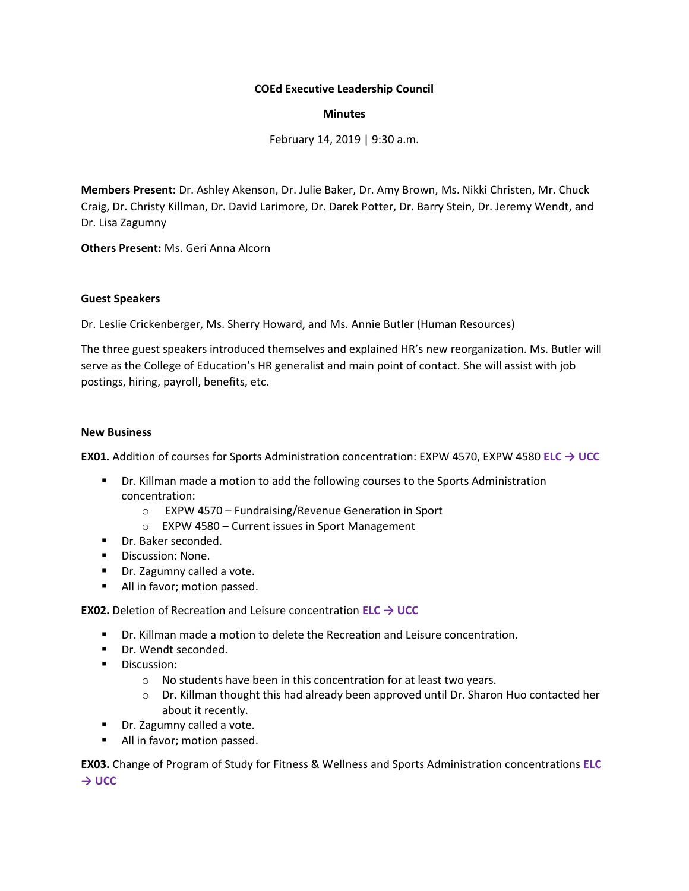## **COEd Executive Leadership Council**

### **Minutes**

February 14, 2019 | 9:30 a.m.

**Members Present:** Dr. Ashley Akenson, Dr. Julie Baker, Dr. Amy Brown, Ms. Nikki Christen, Mr. Chuck Craig, Dr. Christy Killman, Dr. David Larimore, Dr. Darek Potter, Dr. Barry Stein, Dr. Jeremy Wendt, and Dr. Lisa Zagumny

**Others Present:** Ms. Geri Anna Alcorn

## **Guest Speakers**

Dr. Leslie Crickenberger, Ms. Sherry Howard, and Ms. Annie Butler (Human Resources)

The three guest speakers introduced themselves and explained HR's new reorganization. Ms. Butler will serve as the College of Education's HR generalist and main point of contact. She will assist with job postings, hiring, payroll, benefits, etc.

### **New Business**

**EX01.** Addition of courses for Sports Administration concentration: EXPW 4570, EXPW 4580 **ELC → UCC**

- **•** Dr. Killman made a motion to add the following courses to the Sports Administration concentration:
	- o EXPW 4570 Fundraising/Revenue Generation in Sport
	- o EXPW 4580 Current issues in Sport Management
- Dr. Baker seconded.
- Discussion: None.
- Dr. Zagumny called a vote.
- All in favor; motion passed.

### **EX02.** Deletion of Recreation and Leisure concentration **ELC → UCC**

- Dr. Killman made a motion to delete the Recreation and Leisure concentration.
- Dr. Wendt seconded.
- Discussion:
	- o No students have been in this concentration for at least two years.
	- o Dr. Killman thought this had already been approved until Dr. Sharon Huo contacted her about it recently.
- Dr. Zagumny called a vote.
- All in favor; motion passed.

**EX03.** Change of Program of Study for Fitness & Wellness and Sports Administration concentrations **ELC → UCC**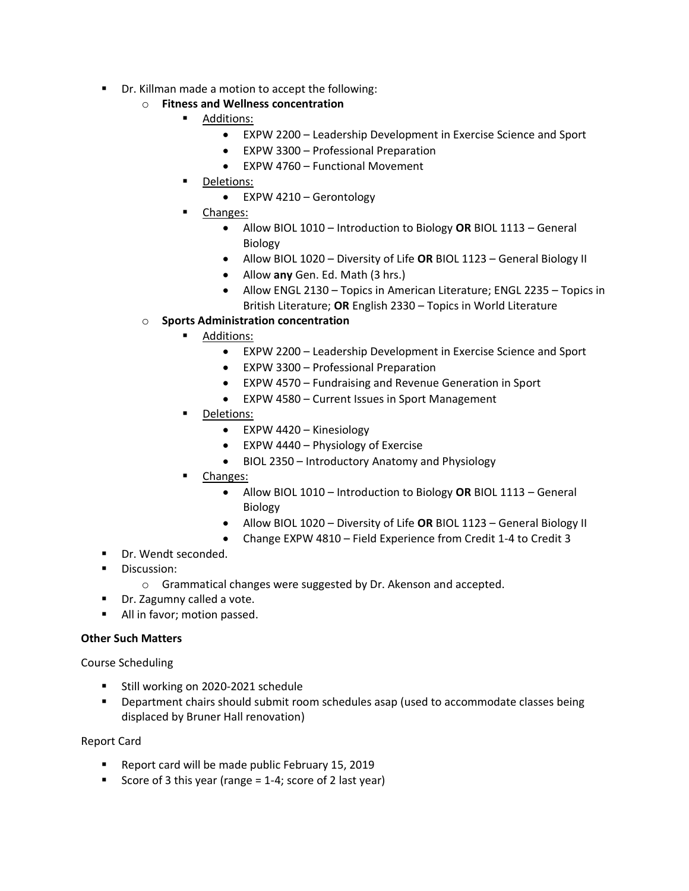Dr. Killman made a motion to accept the following:

# o **Fitness and Wellness concentration**

- Additions:
	- EXPW 2200 Leadership Development in Exercise Science and Sport
	- EXPW 3300 Professional Preparation
	- EXPW 4760 Functional Movement
	- Deletions:
		- EXPW 4210 Gerontology
- Changes:
	- Allow BIOL 1010 Introduction to Biology **OR** BIOL 1113 General Biology
	- Allow BIOL 1020 Diversity of Life **OR** BIOL 1123 General Biology II
	- Allow **any** Gen. Ed. Math (3 hrs.)
	- Allow ENGL 2130 Topics in American Literature; ENGL 2235 Topics in British Literature; **OR** English 2330 – Topics in World Literature
- o **Sports Administration concentration**
	- Additions:
		- EXPW 2200 Leadership Development in Exercise Science and Sport
		- EXPW 3300 Professional Preparation
		- EXPW 4570 Fundraising and Revenue Generation in Sport
		- EXPW 4580 Current Issues in Sport Management
	- Deletions:
		- EXPW 4420 Kinesiology
		- EXPW 4440 Physiology of Exercise
		- BIOL 2350 Introductory Anatomy and Physiology
	- Changes:
		- Allow BIOL 1010 Introduction to Biology **OR** BIOL 1113 General Biology
		- Allow BIOL 1020 Diversity of Life **OR** BIOL 1123 General Biology II
		- Change EXPW 4810 Field Experience from Credit 1-4 to Credit 3
- Dr. Wendt seconded.
- **■** Discussion:
	- o Grammatical changes were suggested by Dr. Akenson and accepted.
- Dr. Zagumny called a vote.
- All in favor; motion passed.

# **Other Such Matters**

Course Scheduling

- Still working on 2020-2021 schedule
- Department chairs should submit room schedules asap (used to accommodate classes being displaced by Bruner Hall renovation)

Report Card

- Report card will be made public February 15, 2019
- Score of 3 this year (range  $= 1-4$ ; score of 2 last year)